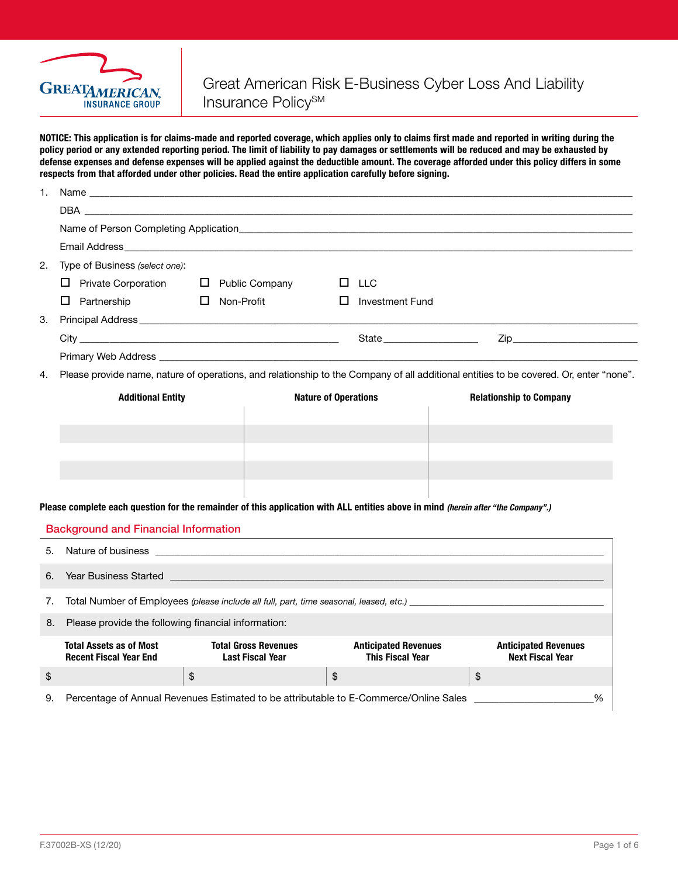

NOTICE: This application is for claims-made and reported coverage, which applies only to claims first made and reported in writing during the policy period or any extended reporting period. The limit of liability to pay damages or settlements will be reduced and may be exhausted by defense expenses and defense expenses will be applied against the deductible amount. The coverage afforded under this policy differs in some respects from that afforded under other policies. Read the entire application carefully before signing.

| 1.                                          |                                                                                                                                                                                                                                     |                   |                                                        |                             |                                                        |                                |    |                                                        |   |
|---------------------------------------------|-------------------------------------------------------------------------------------------------------------------------------------------------------------------------------------------------------------------------------------|-------------------|--------------------------------------------------------|-----------------------------|--------------------------------------------------------|--------------------------------|----|--------------------------------------------------------|---|
|                                             |                                                                                                                                                                                                                                     |                   |                                                        |                             |                                                        |                                |    |                                                        |   |
|                                             |                                                                                                                                                                                                                                     |                   |                                                        |                             |                                                        |                                |    |                                                        |   |
|                                             | Email Address <b>Email Address</b> and the contract of the contract of the contract of the contract of the contract of the contract of the contract of the contract of the contract of the contract of the contract of the contract |                   |                                                        |                             |                                                        |                                |    |                                                        |   |
| 2.                                          | Type of Business (select one):                                                                                                                                                                                                      |                   |                                                        |                             |                                                        |                                |    |                                                        |   |
|                                             | $\Box$ Private Corporation                                                                                                                                                                                                          |                   | $\Box$ Public Company                                  |                             | $\Box$ LLC                                             |                                |    |                                                        |   |
|                                             | $\Box$ Partnership                                                                                                                                                                                                                  | $\Box$ Non-Profit |                                                        |                             | Investment Fund                                        |                                |    |                                                        |   |
| З.                                          |                                                                                                                                                                                                                                     |                   |                                                        |                             |                                                        |                                |    |                                                        |   |
|                                             |                                                                                                                                                                                                                                     |                   |                                                        |                             | State <b>State</b>                                     |                                |    | Zip <b>Example 2018</b>                                |   |
|                                             |                                                                                                                                                                                                                                     |                   |                                                        |                             |                                                        |                                |    |                                                        |   |
| 4.                                          | Please provide name, nature of operations, and relationship to the Company of all additional entities to be covered. Or, enter "none".                                                                                              |                   |                                                        |                             |                                                        |                                |    |                                                        |   |
|                                             | <b>Additional Entity</b>                                                                                                                                                                                                            |                   |                                                        | <b>Nature of Operations</b> |                                                        | <b>Relationship to Company</b> |    |                                                        |   |
|                                             |                                                                                                                                                                                                                                     |                   |                                                        |                             |                                                        |                                |    |                                                        |   |
|                                             |                                                                                                                                                                                                                                     |                   |                                                        |                             |                                                        |                                |    |                                                        |   |
|                                             |                                                                                                                                                                                                                                     |                   |                                                        |                             |                                                        |                                |    |                                                        |   |
|                                             |                                                                                                                                                                                                                                     |                   |                                                        |                             |                                                        |                                |    |                                                        |   |
|                                             |                                                                                                                                                                                                                                     |                   |                                                        |                             |                                                        |                                |    |                                                        |   |
|                                             | Please complete each question for the remainder of this application with ALL entities above in mind (herein after "the Company".)                                                                                                   |                   |                                                        |                             |                                                        |                                |    |                                                        |   |
| <b>Background and Financial Information</b> |                                                                                                                                                                                                                                     |                   |                                                        |                             |                                                        |                                |    |                                                        |   |
| 5.                                          | Nature of business experience of the state of the state of the state of the state of the state of the state of the state of the state of the state of the state of the state of the state of the state of the state of the sta      |                   |                                                        |                             |                                                        |                                |    |                                                        |   |
|                                             |                                                                                                                                                                                                                                     |                   |                                                        |                             |                                                        |                                |    |                                                        |   |
| 6.                                          | <b>Year Business Started</b>                                                                                                                                                                                                        |                   |                                                        |                             |                                                        |                                |    |                                                        |   |
| 7.                                          |                                                                                                                                                                                                                                     |                   |                                                        |                             |                                                        |                                |    |                                                        |   |
| 8.                                          | Please provide the following financial information:                                                                                                                                                                                 |                   |                                                        |                             |                                                        |                                |    |                                                        |   |
|                                             | <b>Total Assets as of Most</b><br><b>Recent Fiscal Year End</b>                                                                                                                                                                     |                   | <b>Total Gross Revenues</b><br><b>Last Fiscal Year</b> |                             | <b>Anticipated Revenues</b><br><b>This Fiscal Year</b> |                                |    | <b>Anticipated Revenues</b><br><b>Next Fiscal Year</b> |   |
| \$                                          |                                                                                                                                                                                                                                     | \$                |                                                        | \$                          |                                                        |                                | \$ |                                                        |   |
| 9.                                          | Percentage of Annual Revenues Estimated to be attributable to E-Commerce/Online Sales                                                                                                                                               |                   |                                                        |                             |                                                        |                                |    |                                                        | % |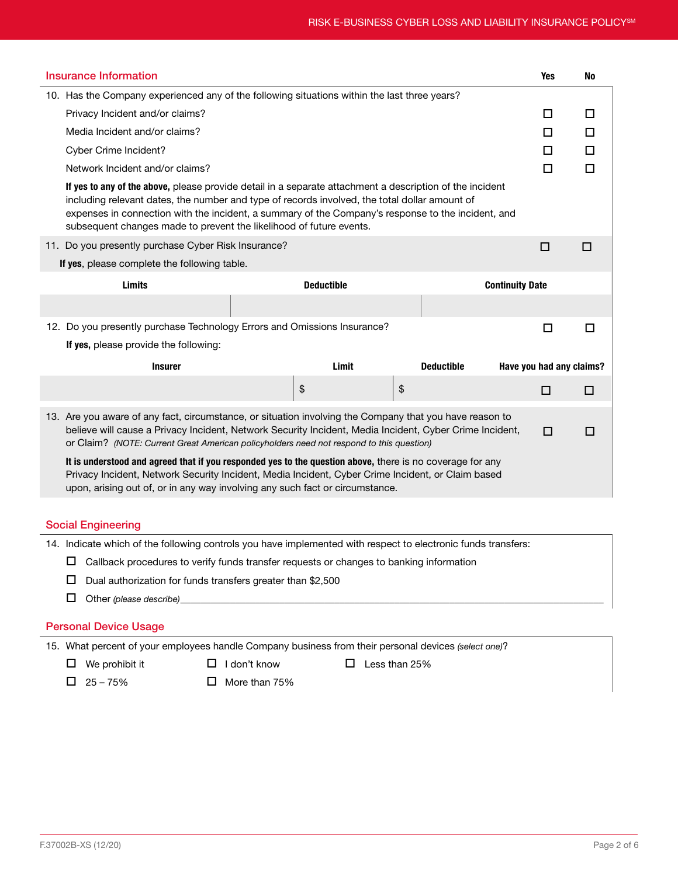| <b>Insurance Information</b>                                                                                                                                                                                                                                                                                                                                                           |                                                        |    | Yes                    | No |  |  |
|----------------------------------------------------------------------------------------------------------------------------------------------------------------------------------------------------------------------------------------------------------------------------------------------------------------------------------------------------------------------------------------|--------------------------------------------------------|----|------------------------|----|--|--|
| 10. Has the Company experienced any of the following situations within the last three years?                                                                                                                                                                                                                                                                                           |                                                        |    |                        |    |  |  |
| Privacy Incident and/or claims?                                                                                                                                                                                                                                                                                                                                                        |                                                        |    |                        |    |  |  |
| Media Incident and/or claims?                                                                                                                                                                                                                                                                                                                                                          |                                                        |    |                        |    |  |  |
| Cyber Crime Incident?                                                                                                                                                                                                                                                                                                                                                                  |                                                        |    |                        |    |  |  |
| Network Incident and/or claims?                                                                                                                                                                                                                                                                                                                                                        |                                                        |    |                        |    |  |  |
| If yes to any of the above, please provide detail in a separate attachment a description of the incident<br>including relevant dates, the number and type of records involved, the total dollar amount of<br>expenses in connection with the incident, a summary of the Company's response to the incident, and<br>subsequent changes made to prevent the likelihood of future events. |                                                        |    |                        |    |  |  |
| 11. Do you presently purchase Cyber Risk Insurance?                                                                                                                                                                                                                                                                                                                                    |                                                        |    | □                      | □  |  |  |
| If yes, please complete the following table.                                                                                                                                                                                                                                                                                                                                           |                                                        |    |                        |    |  |  |
| Limits                                                                                                                                                                                                                                                                                                                                                                                 | <b>Deductible</b>                                      |    | <b>Continuity Date</b> |    |  |  |
|                                                                                                                                                                                                                                                                                                                                                                                        |                                                        |    |                        |    |  |  |
| 12. Do you presently purchase Technology Errors and Omissions Insurance?                                                                                                                                                                                                                                                                                                               |                                                        |    | □                      | □  |  |  |
| If yes, please provide the following:                                                                                                                                                                                                                                                                                                                                                  |                                                        |    |                        |    |  |  |
| <b>Insurer</b>                                                                                                                                                                                                                                                                                                                                                                         | Limit<br><b>Deductible</b><br>Have you had any claims? |    |                        |    |  |  |
|                                                                                                                                                                                                                                                                                                                                                                                        | \$                                                     | \$ | □                      | □  |  |  |
| 13. Are you aware of any fact, circumstance, or situation involving the Company that you have reason to<br>believe will cause a Privacy Incident, Network Security Incident, Media Incident, Cyber Crime Incident,<br>□<br>п<br>or Claim? (NOTE: Current Great American policyholders need not respond to this question)                                                               |                                                        |    |                        |    |  |  |
| It is understood and agreed that if you responded yes to the question above, there is no coverage for any<br>Privacy Incident, Network Security Incident, Media Incident, Cyber Crime Incident, or Claim based<br>upon, arising out of, or in any way involving any such fact or circumstance.                                                                                         |                                                        |    |                        |    |  |  |
|                                                                                                                                                                                                                                                                                                                                                                                        |                                                        |    |                        |    |  |  |
| <b>Social Engineering</b>                                                                                                                                                                                                                                                                                                                                                              |                                                        |    |                        |    |  |  |
| 14. Indicate which of the following controls you have implemented with respect to electronic funds transfers:                                                                                                                                                                                                                                                                          |                                                        |    |                        |    |  |  |
| Callback procedures to verify funds transfer requests or changes to banking information<br>ш                                                                                                                                                                                                                                                                                           |                                                        |    |                        |    |  |  |
| ப<br>Dual authorization for funds transfers greater than \$2,500                                                                                                                                                                                                                                                                                                                       |                                                        |    |                        |    |  |  |
| □<br>Other (please describe)                                                                                                                                                                                                                                                                                                                                                           |                                                        |    |                        |    |  |  |

## Personal Device Usage

15. What percent of your employees handle Company business from their personal devices *(select one)*?

 $\Box$  We prohibit it  $\Box$  I don't know  $\Box$  Less than 25%

 $\Box$  25 – 75%  $\Box$  More than 75%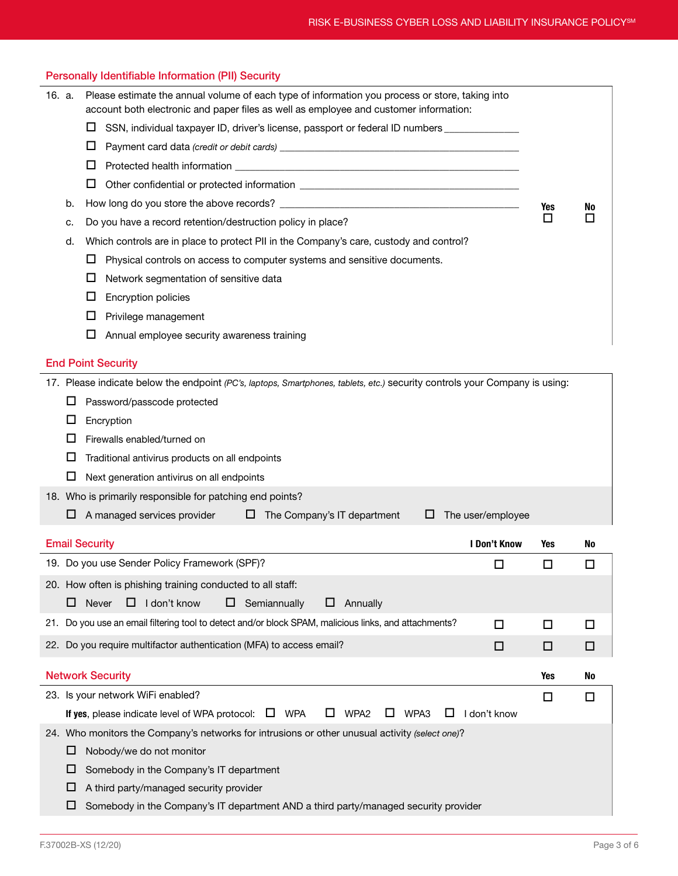| <b>Personally Identifiable Information (PII) Security</b>                                      |                                                                                                                                                                                          |        |             |  |  |  |
|------------------------------------------------------------------------------------------------|------------------------------------------------------------------------------------------------------------------------------------------------------------------------------------------|--------|-------------|--|--|--|
| 16. a.                                                                                         | Please estimate the annual volume of each type of information you process or store, taking into<br>account both electronic and paper files as well as employee and customer information: |        |             |  |  |  |
|                                                                                                | SSN, individual taxpayer ID, driver's license, passport or federal ID numbers _____________<br>ப                                                                                         |        |             |  |  |  |
|                                                                                                | □                                                                                                                                                                                        |        |             |  |  |  |
|                                                                                                | ப                                                                                                                                                                                        |        |             |  |  |  |
|                                                                                                | ⊔                                                                                                                                                                                        |        |             |  |  |  |
| b.                                                                                             | Yes                                                                                                                                                                                      |        |             |  |  |  |
| c.                                                                                             | No<br>П<br>Do you have a record retention/destruction policy in place?                                                                                                                   |        |             |  |  |  |
| d.                                                                                             | Which controls are in place to protect PII in the Company's care, custody and control?                                                                                                   |        |             |  |  |  |
|                                                                                                | ப<br>Physical controls on access to computer systems and sensitive documents.                                                                                                            |        |             |  |  |  |
|                                                                                                | Network segmentation of sensitive data<br>⊔                                                                                                                                              |        |             |  |  |  |
|                                                                                                | Encryption policies<br>⊔                                                                                                                                                                 |        |             |  |  |  |
|                                                                                                | □<br>Privilege management                                                                                                                                                                |        |             |  |  |  |
|                                                                                                | □<br>Annual employee security awareness training                                                                                                                                         |        |             |  |  |  |
|                                                                                                | <b>End Point Security</b>                                                                                                                                                                |        |             |  |  |  |
|                                                                                                | 17. Please indicate below the endpoint (PC's, laptops, Smartphones, tablets, etc.) security controls your Company is using:                                                              |        |             |  |  |  |
| ப                                                                                              | Password/passcode protected                                                                                                                                                              |        |             |  |  |  |
| ப                                                                                              | Encryption                                                                                                                                                                               |        |             |  |  |  |
| П                                                                                              | Firewalls enabled/turned on                                                                                                                                                              |        |             |  |  |  |
| ப                                                                                              | Traditional antivirus products on all endpoints                                                                                                                                          |        |             |  |  |  |
| ப                                                                                              | Next generation antivirus on all endpoints                                                                                                                                               |        |             |  |  |  |
|                                                                                                | 18. Who is primarily responsible for patching end points?                                                                                                                                |        |             |  |  |  |
| ப                                                                                              | A managed services provider<br>$\Box$ The Company's IT department<br>The user/employee<br>⊔                                                                                              |        |             |  |  |  |
|                                                                                                | <b>Email Security</b><br>I Don't Know                                                                                                                                                    | Yes    | No          |  |  |  |
|                                                                                                | 19. Do you use Sender Policy Framework (SPF)?<br>□                                                                                                                                       | □      | $\Box$      |  |  |  |
|                                                                                                | 20. How often is phishing training conducted to all staff:                                                                                                                               |        |             |  |  |  |
|                                                                                                | $\Box$ Never<br>$\Box$ I don't know<br>$\Box$ Semiannually<br>Annually<br>ш                                                                                                              |        |             |  |  |  |
|                                                                                                | 21. Do you use an email filtering tool to detect and/or block SPAM, malicious links, and attachments?                                                                                    |        |             |  |  |  |
|                                                                                                | □<br>22. Do you require multifactor authentication (MFA) to access email?<br>□                                                                                                           | □<br>□ | $\Box$<br>□ |  |  |  |
|                                                                                                |                                                                                                                                                                                          |        |             |  |  |  |
|                                                                                                | <b>Network Security</b>                                                                                                                                                                  | Yes    | No          |  |  |  |
|                                                                                                | 23. Is your network WiFi enabled?                                                                                                                                                        | □      | $\Box$      |  |  |  |
|                                                                                                | If yes, please indicate level of WPA protocol: $\square$ WPA<br>ப<br>WPA2<br>WPA3<br>□<br>I don't know<br>ப                                                                              |        |             |  |  |  |
| 24. Who monitors the Company's networks for intrusions or other unusual activity (select one)? |                                                                                                                                                                                          |        |             |  |  |  |
|                                                                                                | Nobody/we do not monitor<br>ப                                                                                                                                                            |        |             |  |  |  |
| Somebody in the Company's IT department<br>ப                                                   |                                                                                                                                                                                          |        |             |  |  |  |
| A third party/managed security provider<br>ப                                                   |                                                                                                                                                                                          |        |             |  |  |  |
| Somebody in the Company's IT department AND a third party/managed security provider<br>ப       |                                                                                                                                                                                          |        |             |  |  |  |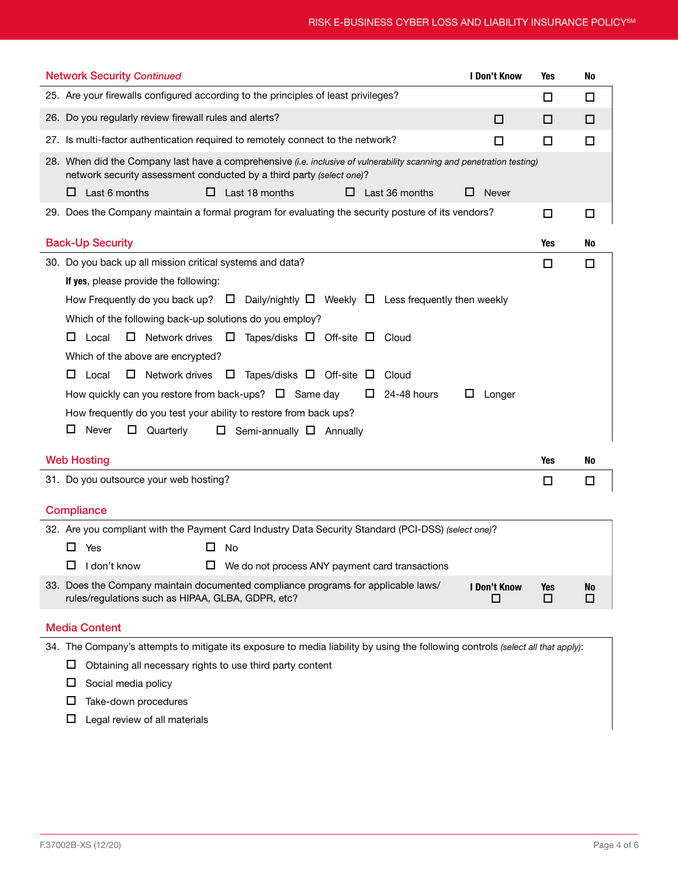| <b>Network Security Continued</b>                                                                                                                                                             | I Don't Know      | <b>Yes</b>      | No             |  |  |  |
|-----------------------------------------------------------------------------------------------------------------------------------------------------------------------------------------------|-------------------|-----------------|----------------|--|--|--|
| 25. Are your firewalls configured according to the principles of least privileges?                                                                                                            |                   | □               | □              |  |  |  |
| 26. Do you regularly review firewall rules and alerts?                                                                                                                                        | □                 | □               | □              |  |  |  |
| 27. Is multi-factor authentication required to remotely connect to the network?                                                                                                               | □                 | □               | ◻              |  |  |  |
| 28. When did the Company last have a comprehensive (i.e. inclusive of vulnerability scanning and penetration testing)<br>network security assessment conducted by a third party (select one)? |                   |                 |                |  |  |  |
| Last 6 months<br>Last 18 months<br>Last 36 months<br>ப<br>ப<br>ப<br>ப                                                                                                                         | <b>Never</b>      |                 |                |  |  |  |
| 29. Does the Company maintain a formal program for evaluating the security posture of its vendors?                                                                                            |                   | □               | $\Box$         |  |  |  |
| <b>Back-Up Security</b>                                                                                                                                                                       |                   | Yes             | No             |  |  |  |
| 30. Do you back up all mission critical systems and data?                                                                                                                                     |                   | □               | $\Box$         |  |  |  |
| If yes, please provide the following:                                                                                                                                                         |                   |                 |                |  |  |  |
| How Frequently do you back up? $\Box$ Daily/nightly $\Box$ Weekly $\Box$ Less frequently then weekly                                                                                          |                   |                 |                |  |  |  |
| Which of the following back-up solutions do you employ?                                                                                                                                       |                   |                 |                |  |  |  |
| □<br>Network drives $\Box$<br>Tapes/disks $\Box$ Off-site $\Box$ Cloud<br>ப<br>Local                                                                                                          |                   |                 |                |  |  |  |
| Which of the above are encrypted?                                                                                                                                                             |                   |                 |                |  |  |  |
| □<br>Network drives $\Box$ Tapes/disks $\Box$ Off-site $\Box$<br>Local<br>Cloud<br>ப                                                                                                          |                   |                 |                |  |  |  |
| How quickly can you restore from back-ups? $\Box$ Same day<br>24-48 hours<br>ш<br>⊔                                                                                                           | Longer            |                 |                |  |  |  |
| How frequently do you test your ability to restore from back ups?                                                                                                                             |                   |                 |                |  |  |  |
| Never<br>ப<br>Ц<br>Quarterly<br>Semi-annually $\Box$ Annually<br>$\Box$                                                                                                                       |                   |                 |                |  |  |  |
| <b>Web Hosting</b>                                                                                                                                                                            |                   | <b>Yes</b>      | No             |  |  |  |
|                                                                                                                                                                                               |                   |                 |                |  |  |  |
| 31. Do you outsource your web hosting?                                                                                                                                                        |                   | □               | □              |  |  |  |
| Compliance                                                                                                                                                                                    |                   |                 |                |  |  |  |
| 32. Are you compliant with the Payment Card Industry Data Security Standard (PCI-DSS) (select one)?                                                                                           |                   |                 |                |  |  |  |
| □<br>Yes<br>No                                                                                                                                                                                |                   |                 |                |  |  |  |
| $\Box$ I don't know<br>$\Box$ We do not process ANY payment card transactions                                                                                                                 |                   |                 |                |  |  |  |
| 33. Does the Company maintain documented compliance programs for applicable laws/<br>rules/regulations such as HIPAA, GLBA, GDPR, etc?                                                        | I Don't Know<br>□ | <b>Yes</b><br>□ | <b>No</b><br>□ |  |  |  |
| <b>Media Content</b>                                                                                                                                                                          |                   |                 |                |  |  |  |
| 34. The Company's attempts to mitigate its exposure to media liability by using the following controls (select all that apply):                                                               |                   |                 |                |  |  |  |
| Obtaining all necessary rights to use third party content<br>ப                                                                                                                                |                   |                 |                |  |  |  |

 $\square$  Social media policy

 $\square$  Take-down procedures

 $\square$  Legal review of all materials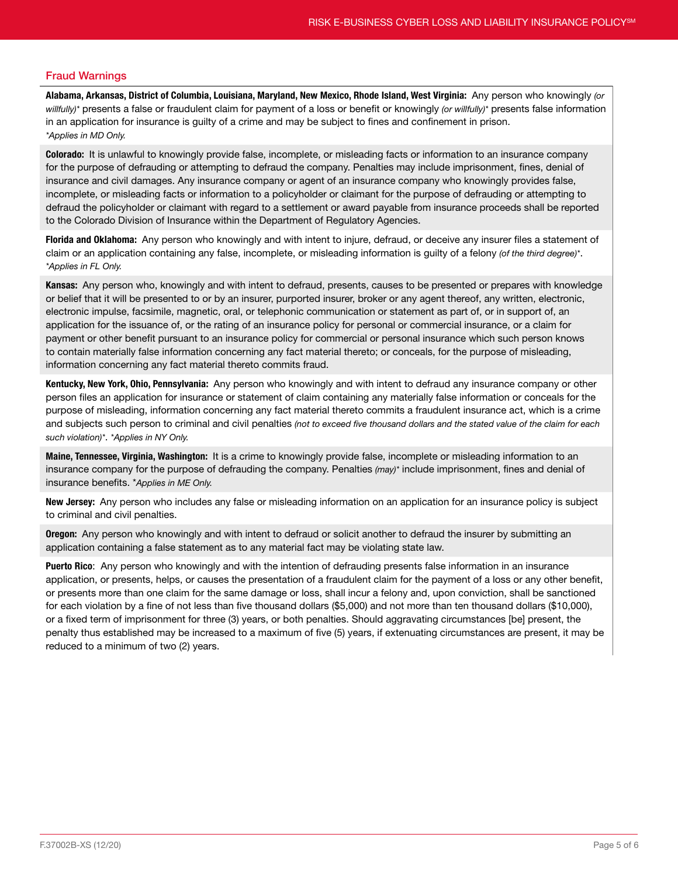## Fraud Warnings

Alabama, Arkansas, District of Columbia, Louisiana, Maryland, New Mexico, Rhode Island, West Virginia: Any person who knowingly *(or willfully)\** presents a false or fraudulent claim for payment of a loss or benefit or knowingly *(or willfully)\** presents false information in an application for insurance is guilty of a crime and may be subject to fines and confinement in prison. *\*Applies in MD Only.*

Colorado: It is unlawful to knowingly provide false, incomplete, or misleading facts or information to an insurance company for the purpose of defrauding or attempting to defraud the company. Penalties may include imprisonment, fines, denial of insurance and civil damages. Any insurance company or agent of an insurance company who knowingly provides false, incomplete, or misleading facts or information to a policyholder or claimant for the purpose of defrauding or attempting to defraud the policyholder or claimant with regard to a settlement or award payable from insurance proceeds shall be reported to the Colorado Division of Insurance within the Department of Regulatory Agencies.

Florida and Oklahoma: Any person who knowingly and with intent to injure, defraud, or deceive any insurer files a statement of claim or an application containing any false, incomplete, or misleading information is guilty of a felony *(of the third degree)\**. *\*Applies in FL Only.*

Kansas: Any person who, knowingly and with intent to defraud, presents, causes to be presented or prepares with knowledge or belief that it will be presented to or by an insurer, purported insurer, broker or any agent thereof, any written, electronic, electronic impulse, facsimile, magnetic, oral, or telephonic communication or statement as part of, or in support of, an application for the issuance of, or the rating of an insurance policy for personal or commercial insurance, or a claim for payment or other benefit pursuant to an insurance policy for commercial or personal insurance which such person knows to contain materially false information concerning any fact material thereto; or conceals, for the purpose of misleading, information concerning any fact material thereto commits fraud.

Kentucky, New York, Ohio, Pennsylvania: Any person who knowingly and with intent to defraud any insurance company or other person files an application for insurance or statement of claim containing any materially false information or conceals for the purpose of misleading, information concerning any fact material thereto commits a fraudulent insurance act, which is a crime and subjects such person to criminal and civil penalties *(not to exceed five thousand dollars and the stated value of the claim for each such violation)\**. *\*Applies in NY Only.*

Maine, Tennessee, Virginia, Washington: It is a crime to knowingly provide false, incomplete or misleading information to an insurance company for the purpose of defrauding the company. Penalties *(may)\** include imprisonment, fines and denial of insurance benefits. \**Applies in ME Only.*

New Jersey: Any person who includes any false or misleading information on an application for an insurance policy is subject to criminal and civil penalties.

**Oregon:** Any person who knowingly and with intent to defraud or solicit another to defraud the insurer by submitting an application containing a false statement as to any material fact may be violating state law.

Puerto Rico: Any person who knowingly and with the intention of defrauding presents false information in an insurance application, or presents, helps, or causes the presentation of a fraudulent claim for the payment of a loss or any other benefit, or presents more than one claim for the same damage or loss, shall incur a felony and, upon conviction, shall be sanctioned for each violation by a fine of not less than five thousand dollars (\$5,000) and not more than ten thousand dollars (\$10,000), or a fixed term of imprisonment for three (3) years, or both penalties. Should aggravating circumstances [be] present, the penalty thus established may be increased to a maximum of five (5) years, if extenuating circumstances are present, it may be reduced to a minimum of two (2) years.